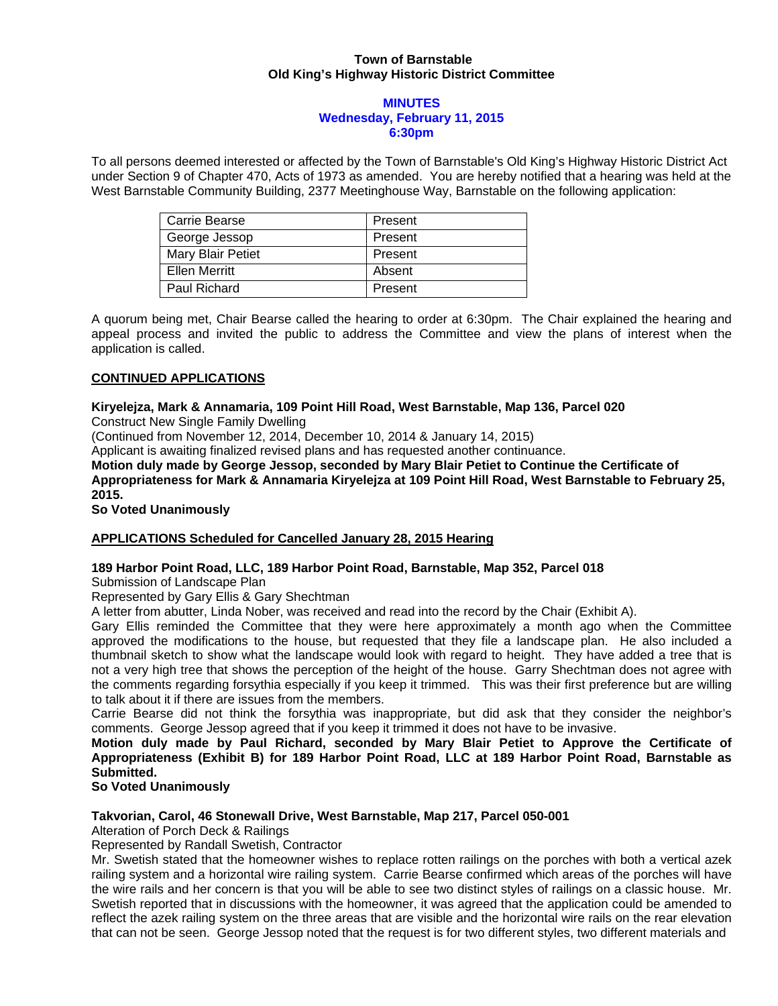## **Town of Barnstable Old King's Highway Historic District Committee**

#### **MINUTES Wednesday, February 11, 2015 6:30pm**

To all persons deemed interested or affected by the Town of Barnstable's Old King's Highway Historic District Act under Section 9 of Chapter 470, Acts of 1973 as amended. You are hereby notified that a hearing was held at the West Barnstable Community Building, 2377 Meetinghouse Way, Barnstable on the following application:

| Carrie Bearse     | Present |
|-------------------|---------|
| George Jessop     | Present |
| Mary Blair Petiet | Present |
| Ellen Merritt     | Absent  |
| Paul Richard      | Present |

A quorum being met, Chair Bearse called the hearing to order at 6:30pm. The Chair explained the hearing and appeal process and invited the public to address the Committee and view the plans of interest when the application is called.

## **CONTINUED APPLICATIONS**

# **Kiryelejza, Mark & Annamaria, 109 Point Hill Road, West Barnstable, Map 136, Parcel 020**

Construct New Single Family Dwelling

(Continued from November 12, 2014, December 10, 2014 & January 14, 2015)

Applicant is awaiting finalized revised plans and has requested another continuance.

**Motion duly made by George Jessop, seconded by Mary Blair Petiet to Continue the Certificate of Appropriateness for Mark & Annamaria Kiryelejza at 109 Point Hill Road, West Barnstable to February 25, 2015.** 

**So Voted Unanimously** 

## **APPLICATIONS Scheduled for Cancelled January 28, 2015 Hearing**

## **189 Harbor Point Road, LLC, 189 Harbor Point Road, Barnstable, Map 352, Parcel 018**

Submission of Landscape Plan

Represented by Gary Ellis & Gary Shechtman

A letter from abutter, Linda Nober, was received and read into the record by the Chair (Exhibit A).

Gary Ellis reminded the Committee that they were here approximately a month ago when the Committee approved the modifications to the house, but requested that they file a landscape plan. He also included a thumbnail sketch to show what the landscape would look with regard to height. They have added a tree that is not a very high tree that shows the perception of the height of the house. Garry Shechtman does not agree with the comments regarding forsythia especially if you keep it trimmed. This was their first preference but are willing to talk about it if there are issues from the members.

Carrie Bearse did not think the forsythia was inappropriate, but did ask that they consider the neighbor's comments. George Jessop agreed that if you keep it trimmed it does not have to be invasive.

**Motion duly made by Paul Richard, seconded by Mary Blair Petiet to Approve the Certificate of Appropriateness (Exhibit B) for 189 Harbor Point Road, LLC at 189 Harbor Point Road, Barnstable as Submitted.** 

# **So Voted Unanimously**

## **Takvorian, Carol, 46 Stonewall Drive, West Barnstable, Map 217, Parcel 050-001**

Alteration of Porch Deck & Railings

Represented by Randall Swetish, Contractor

Mr. Swetish stated that the homeowner wishes to replace rotten railings on the porches with both a vertical azek railing system and a horizontal wire railing system. Carrie Bearse confirmed which areas of the porches will have the wire rails and her concern is that you will be able to see two distinct styles of railings on a classic house. Mr. Swetish reported that in discussions with the homeowner, it was agreed that the application could be amended to reflect the azek railing system on the three areas that are visible and the horizontal wire rails on the rear elevation that can not be seen. George Jessop noted that the request is for two different styles, two different materials and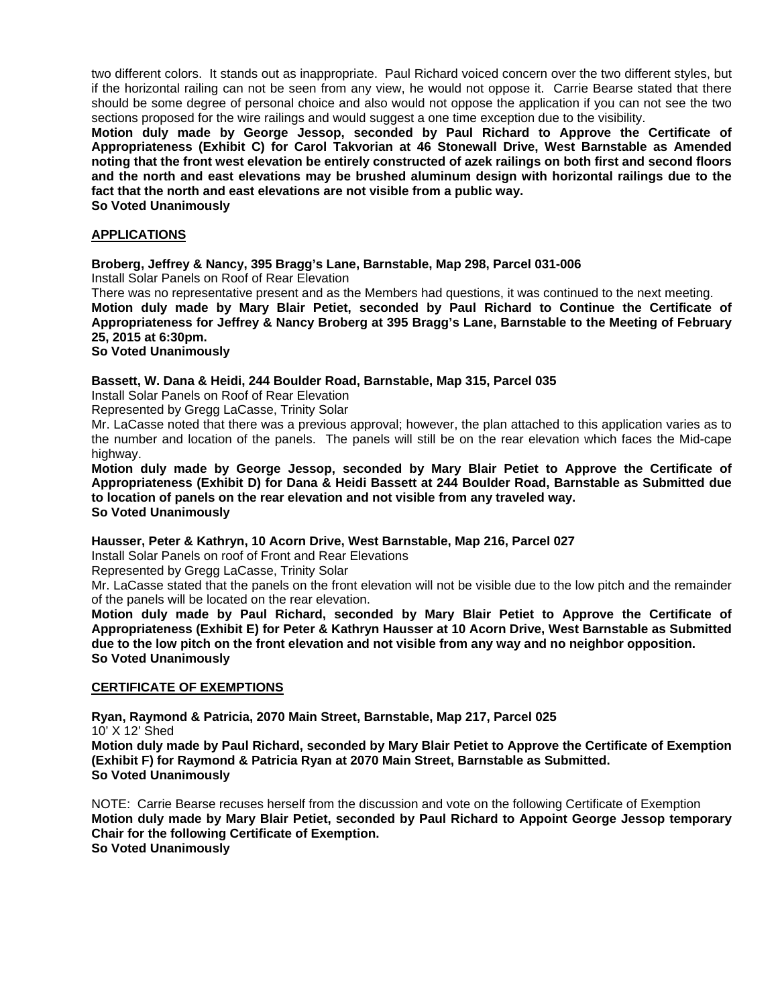two different colors. It stands out as inappropriate. Paul Richard voiced concern over the two different styles, but if the horizontal railing can not be seen from any view, he would not oppose it. Carrie Bearse stated that there should be some degree of personal choice and also would not oppose the application if you can not see the two sections proposed for the wire railings and would suggest a one time exception due to the visibility.

**Motion duly made by George Jessop, seconded by Paul Richard to Approve the Certificate of Appropriateness (Exhibit C) for Carol Takvorian at 46 Stonewall Drive, West Barnstable as Amended noting that the front west elevation be entirely constructed of azek railings on both first and second floors and the north and east elevations may be brushed aluminum design with horizontal railings due to the fact that the north and east elevations are not visible from a public way.** 

**So Voted Unanimously** 

## **APPLICATIONS**

## **Broberg, Jeffrey & Nancy, 395 Bragg's Lane, Barnstable, Map 298, Parcel 031-006**

Install Solar Panels on Roof of Rear Elevation

There was no representative present and as the Members had questions, it was continued to the next meeting. **Motion duly made by Mary Blair Petiet, seconded by Paul Richard to Continue the Certificate of Appropriateness for Jeffrey & Nancy Broberg at 395 Bragg's Lane, Barnstable to the Meeting of February 25, 2015 at 6:30pm.** 

#### **So Voted Unanimously**

### **Bassett, W. Dana & Heidi, 244 Boulder Road, Barnstable, Map 315, Parcel 035**

Install Solar Panels on Roof of Rear Elevation

Represented by Gregg LaCasse, Trinity Solar

Mr. LaCasse noted that there was a previous approval; however, the plan attached to this application varies as to the number and location of the panels. The panels will still be on the rear elevation which faces the Mid-cape highway.

**Motion duly made by George Jessop, seconded by Mary Blair Petiet to Approve the Certificate of Appropriateness (Exhibit D) for Dana & Heidi Bassett at 244 Boulder Road, Barnstable as Submitted due to location of panels on the rear elevation and not visible from any traveled way. So Voted Unanimously**

**Hausser, Peter & Kathryn, 10 Acorn Drive, West Barnstable, Map 216, Parcel 027** 

Install Solar Panels on roof of Front and Rear Elevations

Represented by Gregg LaCasse, Trinity Solar

Mr. LaCasse stated that the panels on the front elevation will not be visible due to the low pitch and the remainder of the panels will be located on the rear elevation.

**Motion duly made by Paul Richard, seconded by Mary Blair Petiet to Approve the Certificate of Appropriateness (Exhibit E) for Peter & Kathryn Hausser at 10 Acorn Drive, West Barnstable as Submitted due to the low pitch on the front elevation and not visible from any way and no neighbor opposition. So Voted Unanimously** 

### **CERTIFICATE OF EXEMPTIONS**

**Ryan, Raymond & Patricia, 2070 Main Street, Barnstable, Map 217, Parcel 025**  10' X 12' Shed

**Motion duly made by Paul Richard, seconded by Mary Blair Petiet to Approve the Certificate of Exemption (Exhibit F) for Raymond & Patricia Ryan at 2070 Main Street, Barnstable as Submitted. So Voted Unanimously** 

NOTE: Carrie Bearse recuses herself from the discussion and vote on the following Certificate of Exemption **Motion duly made by Mary Blair Petiet, seconded by Paul Richard to Appoint George Jessop temporary Chair for the following Certificate of Exemption. So Voted Unanimously**